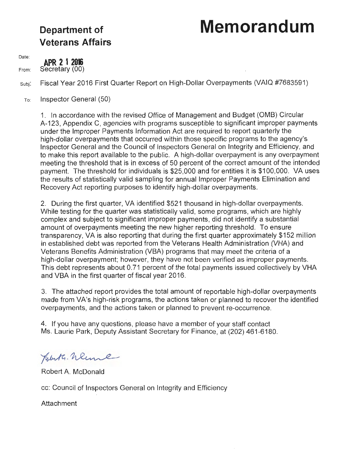# **Department of Memorandum**

# **Veterans Affairs**

Date:

**APR 2 1 2016** 

From: Secretary (00)

Subj: Fiscal Year 2016 First Quarter Report on High-Dollar Overpayments (VAIQ #7683591)

To: Inspector General (50)

> 1. In accordance with the revised Office of Management and Budget (OMB) Circular A-123, Appendix C, agencies with programs susceptible to significant improper payments under the Improper Payments Information Act are required to report quarterly the high-dollar overpayments that occurred within those specific programs to the agency's Inspector General and the Council of Inspectors General on Integrity and Efficiency, and to make this report available to the public. A high-dollar overpayment is any overpayment meeting the threshold that is in excess of 50 percent of the correct amount of the intended payment. The threshold for individuals is \$25,000 and for entities it is \$100,000. VA uses the results of statistically valid sampling for annual Improper Payments Elimination and Recovery Act reporting purposes to identify high-dollar overpayments.

2. During the first quarter, VA identified \$521 thousand in high-dollar overpayments. While testing for the quarter was statistically valid, some programs, which are highly complex and subject to significant improper payments, did not identify a substantial amount of overpayments meeting the new higher reporting threshold. To ensure transparency, VA is also reporting that during the first quarter approximately \$152 million in established debt was reported from the Veterans Health Administration (VHA) and Veterans Benefits Administration (VBA) programs that may meet the criteria of a high-dollar overpayment; however, they have not been verified as improper payments. This debt represents about 0.71 percent of the total payments issued collectively by VHA and VBA in the first quarter of fiscal year 2016.

3. The attached report provides the total amount of reportable high-dollar overpayments made from VA's high-risk programs, the actions taken or planned to recover the identified overpayments, and the actions taken or planned to prevent re-occurrence.

4. If you have any questions, please have a member of your staff contact Ms. Laurie Park, Deputy Assistant Secretary for Finance, at (202) 461-6180.

Holuta. Wenne

Robert A. McDonald

cc: Council of Inspectors General on Integrity and Efficiency

Attachment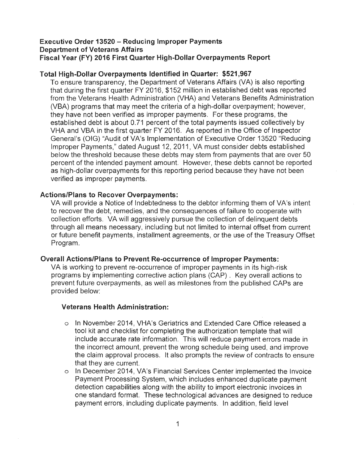### **Executive Order 13520 - Reducing Improper Payments Department of Veterans Affairs Fiscal Year (FY) 2016 First Quarter High-Dollar Overpayments Report**

# **Total High-Dollar Overpayments Identified in Quarter: \$521,967**

To ensure transparency, the Department of Veterans Affairs (VA) is also reporting that during the first quarter FY 2016, \$152 million in established debt was reported from the Veterans Health Administration (VHA) and Veterans Benefits Administration (VBA) programs that may meet the criteria of a high-dollar overpayment; however, they have not been verified as improper payments. For these programs, the established debt is about 0.71 percent of the total payments issued collectively by VHA and VBA in the first quarter FY 2016. As reported in the Office of Inspector General's (OIG) "Audit of VA's Implementation of Executive Order 13520 "Reducing Improper Payments," dated August 12, 2011, VA must consider debts established below the threshold because these debts may stem from payments that are over 50 percent of the intended payment amount. However, these debts cannot be reported as high-dollar overpayments for this reporting period because they have not been verified as improper payments.

#### **Actions/Plans to Recover Overpayments:**

VA will provide a Notice of Indebtedness to the debtor informing them of VA's intent to recover the debt, remedies, and the consequences of failure to cooperate with collection efforts. VA will aggressively pursue the collection of delinquent debts through all means necessary, including but not limited to internal offset from current or future benefit payments, installment agreements, or the use of the Treasury Offset Program.

#### **Overall Actions/Plans to Prevent Re-occurrence of Improper Payments:**

VA is working to prevent re-occurrence of improper payments in its high-risk programs by implementing corrective action plans (CAP) . Key overall actions to prevent future overpayments, as well as milestones from the published CAPs are provided below:

#### **Veterans Health Administration:**

- o In November 2014, VHA's Geriatrics and Extended Care Office released a tool kit and checklist for completing the authorization template that will include accurate rate information. This will reduce payment errors made in the incorrect amount, prevent the wrong schedule being used, and improve the claim approval process. It also prompts the review of contracts to ensure that they are current.
- o In December 2014, VA's Financial Services Center implemented the Invoice Payment Processing System, which includes enhanced duplicate payment detection capabilities along with the ability to import electronic invoices in one standard format. These technological advances are designed to reduce payment errors, including duplicate payments. In addition, field level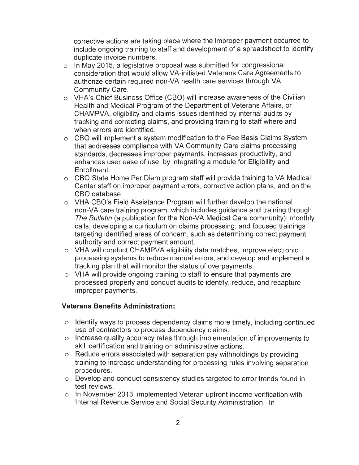corrective actions are taking place where the improper payment occurred to include ongoing training to staff and development of a spreadsheet to identify duplicate invoice numbers.

- $\circ$  In May 2015, a legislative proposal was submitted for congressional consideration that would allow VA-initiated Veterans Care Agreements to authorize certain required non-VA health care services through VA Community Care.
- o VHA's Chief Business Office (CBO) will increase awareness of the Civilian Health and Medical Program of the Department of Veterans Affairs, or CHAMPVA, eligibility and claims issues identified by internal audits by tracking and correcting claims, and providing training to staff where and when errors are identified.
- o CBO will implement a system modification to the Fee Basis Claims System that addresses compliance with VA Community Care claims processing standards, decreases improper payments, increases productivity, and enhances user ease of use, by integrating a module for Eligibility and Enrollment.
- o CBO State Home Per Diem program staff will provide training to VA Medical Center staff on improper payment errors, corrective action plans, and on the CBO database.
- o VHA CBO's Field Assistance Program will further develop the national non-VA care training program, which includes guidance and training through The Bulletin (a publication for the Non-VA Medical Care community); monthly calls; developing a curriculum on claims processing; and focused trainings targeting identified areas of concern, such as determining correct payment authority and correct payment amount.
- o VHA will conduct CHAMPVA eligibility data matches, improve electronic processing systems to reduce manual errors, and develop and implement a tracking plan that will monitor the status of overpayments.
- o VHA will provide ongoing training to staff to ensure that payments are processed properly and conduct audits to identify, reduce, and recapture improper payments.

# **Veterans Benefits Administration:**

- $\circ$  Identify ways to process dependency claims more timely, including continued use of contractors to process dependency claims.
- o Increase quality accuracy rates through implementation of improvements to skill certification and training on administrative actions.
- o Reduce errors associated with separation pay withholdings by providing training to increase understanding for processing rules involving separation procedures.
- o Develop and conduct consistency studies targeted to error trends found in test reviews.
- o In November 2013, implemented Veteran upfront income verification with Internal Revenue Service and Social Security Administration. In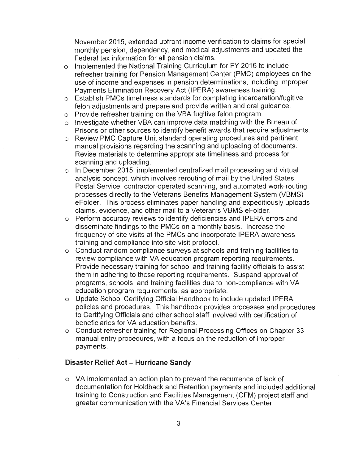November 2015, extended upfront income verification to claims for special monthly pension, dependency, and medical adjustments and updated the Federal tax information for all pension claims.

- o Implemented the National Training Curriculum for FY 2016 to include refresher training for Pension Management Center (PMC) employees on the use of income and expenses in pension determinations, including Improper Payments Elimination Recovery Act (IPERA) awareness training.
- o Establish PMCs timeliness standards for completing incarceration/fugitive felon adjustments and prepare and provide written and oral guidance.
- o Provide refresher training on the VBA fugitive felon program.
- $\circ$  Investigate whether VBA can improve data matching with the Bureau of Prisons or other sources to identify benefit awards that require adjustments.
- o Review PMC Capture Unit standard operating procedures and pertinent manual provisions regarding the scanning and uploading of documents. Revise materials to determine appropriate timeliness and process for scanning and uploading.
- $\circ$  In December 2015, implemented centralized mail processing and virtual analysis concept, which involves rerouting of mail by the United States Postal Service, contractor-operated scanning, and automated work-routing processes directly to the Veterans Benefits Management System (VBMS) eFolder. This process eliminates paper handling and expeditiously uploads claims, evidence, and other mail to a Veteran's VBMS eFolder.
- o Perform accuracy reviews to identify deficiencies and IPERA errors and disseminate findings to the PMCs on a monthly basis. Increase the frequency of site visits at the PMCs and incorporate IPERA awareness training and compliance into site-visit protocol.
- o Conduct random compliance surveys at schools and training facilities to review compliance with VA education program reporting requirements. Provide necessary training for school and training facility officials to assist them in adhering to these reporting requirements. Suspend approval of programs, schools, and training facilities due to non-compliance with VA education program requirements, as appropriate.
- o Update School Certifying Official Handbook to include updated IPERA policies and procedures. This handbook provides processes and procedures to Certifying Officials and other school staff involved with certification of beneficiaries for VA education benefits.
- o Conduct refresher training for Regional Processing Offices on Chapter 33 manual entry procedures, with a focus on the reduction of improper payments.

# **Disaster Relief Act - Hurricane Sandy**

 $\circ$  VA implemented an action plan to prevent the recurrence of lack of documentation for Holdback and Retention payments and included additional training to Construction and Facilities Management (CFM) project staff and greater communication with the VA's Financial Services Center.